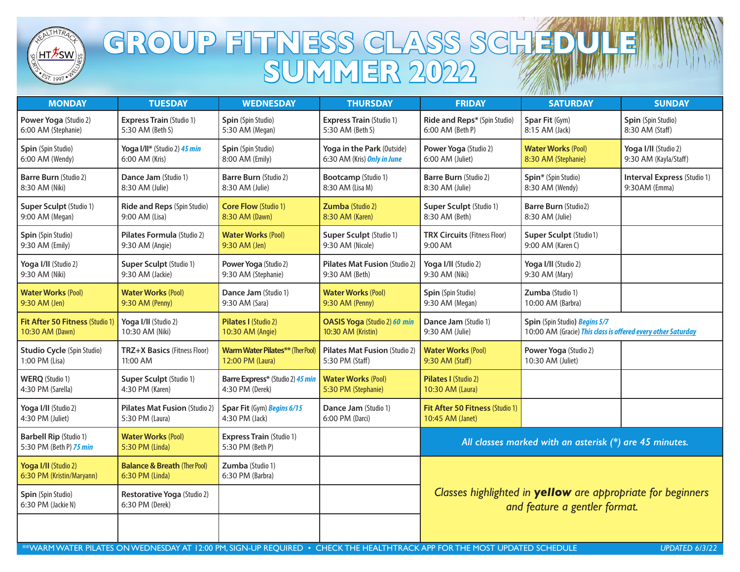

## GROUP FITNESS CLASS SCHEDULE **SUMMER 2022**

| <b>MONDAY</b>                                            | <b>TUESDAY</b>                                             | <b>WEDNESDAY</b>                                    | <b>THURSDAY</b>                                  | <b>FRIDAY</b>                                                                                | <b>SATURDAY</b>                                              | <b>SUNDAY</b>                      |  |
|----------------------------------------------------------|------------------------------------------------------------|-----------------------------------------------------|--------------------------------------------------|----------------------------------------------------------------------------------------------|--------------------------------------------------------------|------------------------------------|--|
| Power Yoga (Studio 2)                                    | <b>Express Train (Studio 1)</b>                            | Spin (Spin Studio)                                  | <b>Express Train (Studio 1)</b>                  | Ride and Reps* (Spin Studio)                                                                 | Spar Fit (Gym)                                               | Spin (Spin Studio)                 |  |
| 6:00 AM (Stephanie)                                      | 5:30 AM (Beth S)                                           | 5:30 AM (Megan)                                     | 5:30 AM (Beth S)                                 | 6:00 AM (Beth P)                                                                             | 8:15 AM (Jack)                                               | 8:30 AM (Staff)                    |  |
| Spin (Spin Studio)                                       | Yoga I/II* (Studio 2) 45 min                               | Spin (Spin Studio)                                  | Yoga in the Park (Outside)                       | Power Yoga (Studio 2)                                                                        | <b>Water Works (Pool)</b>                                    | Yoga I/II (Studio 2)               |  |
| 6:00 AM (Wendy)                                          | 6:00 AM (Kris)                                             | 8:00 AM (Emily)                                     | 6:30 AM (Kris) Only in June                      | 6:00 AM (Juliet)                                                                             | 8:30 AM (Stephanie)                                          | 9:30 AM (Kayla/Staff)              |  |
| <b>Barre Burn (Studio 2)</b>                             | Dance Jam (Studio 1)                                       | <b>Barre Burn (Studio 2)</b>                        | <b>Bootcamp</b> (Studio 1)                       | <b>Barre Burn (Studio 2)</b>                                                                 | Spin* (Spin Studio)                                          | <b>Interval Express (Studio 1)</b> |  |
| 8:30 AM (Niki)                                           | 8:30 AM (Julie)                                            | 8:30 AM (Julie)                                     | 8:30 AM (Lisa M)                                 | 8:30 AM (Julie)                                                                              | 8:30 AM (Wendy)                                              | 9:30AM (Emma)                      |  |
| Super Sculpt (Studio 1)                                  | Ride and Reps (Spin Studio)                                | <b>Core Flow (Studio 1)</b>                         | Zumba (Studio 2)                                 | <b>Super Sculpt (Studio 1)</b>                                                               | <b>Barre Burn (Studio2)</b>                                  |                                    |  |
| 9:00 AM (Megan)                                          | 9:00 AM (Lisa)                                             | 8:30 AM (Dawn)                                      | 8:30 AM (Karen)                                  | 8:30 AM (Beth)                                                                               | 8:30 AM (Julie)                                              |                                    |  |
| Spin (Spin Studio)                                       | Pilates Formula (Studio 2)                                 | <b>Water Works (Pool)</b>                           | Super Sculpt (Studio 1)                          | <b>TRX Circuits (Fitness Floor)</b>                                                          | Super Sculpt (Studio1)                                       |                                    |  |
| 9:30 AM (Emily)                                          | 9:30 AM (Angie)                                            | 9:30 AM (Jen)                                       | 9:30 AM (Nicole)                                 | 9:00 AM                                                                                      | 9:00 AM (Karen C)                                            |                                    |  |
| Yoga I/II (Studio 2)                                     | Super Sculpt (Studio 1)                                    | Power Yoga (Studio 2)                               | Pilates Mat Fusion (Studio 2)                    | Yoga I/II (Studio 2)                                                                         | Yoga I/II (Studio 2)                                         |                                    |  |
| 9:30 AM (Niki)                                           | 9:30 AM (Jackie)                                           | 9:30 AM (Stephanie)                                 | 9:30 AM (Beth)                                   | 9:30 AM (Niki)                                                                               | 9:30 AM (Mary)                                               |                                    |  |
| <b>Water Works (Pool)</b>                                | <b>Water Works (Pool)</b>                                  | Dance Jam (Studio 1)                                | <b>Water Works (Pool)</b>                        | Spin (Spin Studio)                                                                           | Zumba (Studio 1)                                             |                                    |  |
| 9:30 AM (Jen)                                            | 9:30 AM (Penny)                                            | 9:30 AM (Sara)                                      | 9:30 AM (Penny)                                  | 9:30 AM (Megan)                                                                              | 10:00 AM (Barbra)                                            |                                    |  |
| Fit After 50 Fitness (Studio 1)                          | Yoga I/II (Studio 2)                                       | Pilates I (Studio 2)                                | OASIS Yoga (Studio 2) 60 min                     | Dance Jam (Studio 1)                                                                         | Spin (Spin Studio) Begins 5/7                                |                                    |  |
| 10:30 AM (Dawn)                                          | 10:30 AM (Niki)                                            | 10:30 AM (Angie)                                    | 10:30 AM (Kristin)                               | 9:30 AM (Julie)                                                                              | 10:00 AM (Gracie) This class is offered every other Saturday |                                    |  |
| <b>Studio Cycle (Spin Studio)</b>                        | TRZ+X Basics (Fitness Floor)                               | <b>Warm Water Pilates**</b> (Ther Pool              | <b>Pilates Mat Fusion (Studio 2)</b>             | <b>Water Works (Pool)</b>                                                                    | Power Yoga (Studio 2)                                        |                                    |  |
| 1:00 PM (Lisa)                                           | 11:00 AM                                                   | 12:00 PM (Laura)                                    | 5:30 PM (Staff)                                  | 9:30 AM (Staff)                                                                              | 10:30 AM (Juliet)                                            |                                    |  |
| <b>WERQ</b> (Studio 1)<br>4:30 PM (Sarella)              | <b>Super Sculpt (Studio 1)</b><br>4:30 PM (Karen)          | Barre Express* (Studio 2) 45 min<br>4:30 PM (Derek) | <b>Water Works (Pool)</b><br>5:30 PM (Stephanie) | Pilates I (Studio 2)<br>10:30 AM (Laura)                                                     |                                                              |                                    |  |
| Yoga I/II (Studio 2)<br>4:30 PM (Juliet)                 | Pilates Mat Fusion (Studio 2)<br>5:30 PM (Laura)           | Spar Fit (Gym) Begins 6/15<br>4:30 PM (Jack)        | Dance Jam (Studio 1)<br>6:00 PM (Darci)          | Fit After 50 Fitness (Studio 1)<br>10:45 AM (Janet)                                          |                                                              |                                    |  |
| <b>Barbell Rip (Studio 1)</b><br>5:30 PM (Beth P) 75 min | <b>Water Works (Pool)</b><br>5:30 PM (Linda)               | <b>Express Train (Studio 1)</b><br>5:30 PM (Beth P) |                                                  | All classes marked with an asterisk $(*)$ are 45 minutes.                                    |                                                              |                                    |  |
| Yoga I/II (Studio 2)<br>6:30 PM (Kristin/Maryann)        | <b>Balance &amp; Breath (Ther Pool)</b><br>6:30 PM (Linda) | Zumba (Studio 1)<br>6:30 PM (Barbra)                |                                                  | Classes highlighted in yellow are appropriate for beginners<br>and feature a gentler format. |                                                              |                                    |  |
| Spin (Spin Studio)<br>6:30 PM (Jackie N)                 | Restorative Yoga (Studio 2)<br>6:30 PM (Derek)             |                                                     |                                                  |                                                                                              |                                                              |                                    |  |
|                                                          |                                                            |                                                     |                                                  |                                                                                              |                                                              |                                    |  |